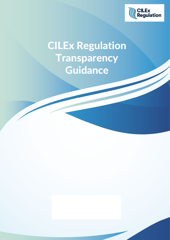

# CILEx Regulation **Transparency** Guidance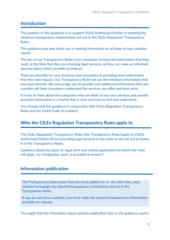# **Introduction**

The purpose of this guidance is to support CILEX Authorised Entities in meeting the minimum transparency requirements set out in the CILEx Regulation Transparency Rules.

This guidance may also assist you in making information on all areas of your website clearer.

The aim of our Transparency Rules is for consumers to have the information that they need, at the time that they are choosing legal services, so they can make an informed decision about which provider to instruct.

There are benefits for your business and consumers in providing more information than the rules require. Our Transparency Rules set out the minimum information that you must provide. We encourage you to provide such additional information that you consider will help consumers understand the services you offer and their price.

It is key to think about the consumers who are likely to use your services and provide accurate information in a format that is clear and easy to find and understand.

You should read this guidance in conjunction with CILEx Regulation Transparency Rules and the CILEX Code of Conduct.

# **Who the CILEx Regulation Transparency Rules apply to**

The CILEx Regulation Transparency Rules (the Transparency Rules) apply to CILEX Authorised Entities (firms) providing legal services in the areas of law set out at Annex A of the Transparency Rules.

Guidance about the types of legal work and related applications to which the rules will apply for immigration work, is provided at Annex F.

# **Information publication**

The Transparency Rules state that you must publish on, or via a link from, your website homepage the required transparency information set out in the Transparency Rules.

If you do not have a website, you must make the required transparency information available on request.

You might find the information about website publication later in the guidance useful.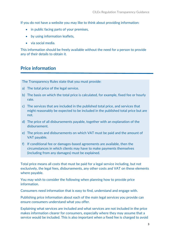If you do not have a website you may like to think about providing information:

- in public facing parts of your premises,
- by using information leaflets,
- via social media.

This information should be freely available without the need for a person to provide any of their details to obtain it.

# **Price information**

The Transparency Rules state that you must provide:

- a) The total price of the legal service.
- b) The basis on which the total price is calculated, for example, fixed fee or hourly rate.
- c) The services that are included in the published total price, and services that might reasonably be expected to be included in the published total price but are not.
- d) The price of all disbursements payable, together with an explanation of the disbursement.
- e) The prices and disbursements on which VAT must be paid and the amount of VAT payable.
- f) If conditional fee or damages-based agreements are available, then the circumstances in which clients may have to make payments themselves (including from any damages) must be explained.

Total price means all costs that must be paid for a legal service including, but not exclusively, the legal fees, disbursements, any other costs and VAT on these elements where payable.

You may wish to consider the following when planning how to provide price information.

Consumers need information that is easy to find, understand and engage with.

Publishing price information about each of the main legal services you provide can ensure consumers understand what you offer.

Explaining what services are included and what services are not included in the price makes information clearer for consumers, especially where they may assume that a service would be included. This is also important when a fixed fee is charged to avoid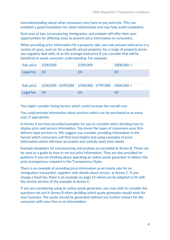misunderstanding about what consumers may have to pay extra for. This can establish a good foundation for client relationships and may help avoid complaints.

Each area of law, conveyancing, immigration, and probate will offer their own opportunities for differing ways to present price information to consumers.

When providing price information for a property sale, you may present total price in a variety of ways, such as: for a specific priced property, for a range of property prices you regularly deal with, or as the average total price if you consider that will be beneficial to assist consumer understanding. For example:

| Sale price $\left  \right.$ £200,000 | £500,000 | $E800,000 +$ |
|--------------------------------------|----------|--------------|
| Legal fee $\mathsf{E}$ X             | f        | £            |

|                | Sale price   £200,000 - £499,000   £500,000 - £799,000   £800,000 + |  |
|----------------|---------------------------------------------------------------------|--|
| Legal fee $EX$ | £X                                                                  |  |

You might consider listing factors which could increase the overall cost.

You could provide information about services which can be purchased at an extra cost, if appropriate.

In Annex A we have provided examples for you to consider when deciding how to display price and service information. You know the types of consumers your firm delivers legal services to. We suggest you consider providing information in the format which consumers will find most helpful and using examples of price information which will most accurately and usefully meet their needs.

Example templates for conveyancing and probate are provided at Annex B. These can be used as a guide to how to set out price information. They are also provided for guidance if you are thinking about operating an online quote generator to deliver the price transparency required in the Transparency Rules.

There is an example of providing price information as an hourly rate for an immigration transaction, together with details about service, at Annex C. If you charge a fixed fee, there is an example on page 15 which can be adapted to fit with the service section of the example at Annex C.

If you are considering using an online quote generator, you may wish to consider the questions set out in Annex B when deciding which quote generator would work for your business. The quote should be generated without any further contact for the consumer with your firm or an intermediary.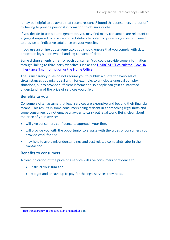It may be helpful to be aware that recent research<sup>[1](#page-4-0)</sup> found that consumers are put off by having to provide personal information to obtain a quote.

If you decide to use a quote generator, you may find many consumers are reluctant to engage if required to provide contact details to obtain a quote, so you will still need to provide an indicative total price on your website.

If you use an online quote generator, you should ensure that you comply with data protection legislation when handling consumers' data.

Some disbursements differ for each consumer. You could provide some information through linking to third-party websites such as the **[HMRC SDLT calculator,](https://www.tax.service.gov.uk/calculate-stamp-duty-land-tax/#/intro) Gov.UK** [Inheritance Tax information](https://www.gov.uk/inheritance-tax) or the [Home Office.](https://www.gov.uk/browse/visas-immigration)

The Transparency rules do not require you to publish a quote for every set of circumstances you might deal with, for example, to anticipate unusual complex situations, but to provide sufficient information so people can gain an informed understanding of the price of services you offer.

# **Benefits to you**

Consumers often assume that legal services are expensive and beyond their financial means. This results in some consumers being reticent in approaching legal firms and some consumers do not engage a lawyer to carry out legal work. Being clear about the price of your services:

- will give consumers confidence to approach your firm,
- will provide you with the opportunity to engage with the types of consumers you provide work for and
- may help to avoid misunderstandings and cost related complaints later in the transaction.

#### **Benefits to consumers**

A clear indication of the price of a service will give consumers confidence to

- instruct your firm and
- budget and or save up to pay for the legal services they need.

<span id="page-4-0"></span><sup>&</sup>lt;sup>1</sup>[Price transparency in the conveyancing market](https://www.sra.org.uk/globalassets/documents/sra/research/price-transparency-conveyancing-market.pdf) p36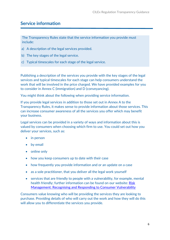# **Service information**

The Transparency Rules state that the service information you provide must include:

- a) A description of the legal services provided.
- b) The key stages of the legal service.
- c) Typical timescales for each stage of the legal service.

Publishing a description of the services you provide with the key stages of the legal services and typical timescales for each stage can help consumers understand the work that will be involved in the price charged. We have provided examples for you to consider in Annex C (immigration) and D (conveyancing).

You might think about the following when providing service information.

If you provide legal services in addition to those set out in Annex A to the Transparency Rules, it makes sense to provide information about those services. This can increase consumer awareness of all the services you offer which may benefit your business.

Legal services can be provided in a variety of ways and information about this is valued by consumers when choosing which firm to use. You could set out how you deliver your services, such as:

- in person
- by email
- online only
- how you keep consumers up to date with their case
- how frequently you provide information and or an update on a case
- as a sole practitioner, that you deliver all the legal work yourself
- services that are friendly to people with a vulnerability, for example, mental health friendly; further information can be found on our website: [Risk](https://cilexregulation.org.uk/wp-content/uploads/2018/11/12-Recognising-and-Responding-to-Consumer-Vulnerability.pdf)  [Management: Recognising and Responding to Consumer Vulnerability](https://cilexregulation.org.uk/wp-content/uploads/2018/11/12-Recognising-and-Responding-to-Consumer-Vulnerability.pdf)

Consumers value knowing who will be providing the services they are looking to purchase. Providing details of who will carry out the work and how they will do this will allow you to differentiate the services you provide.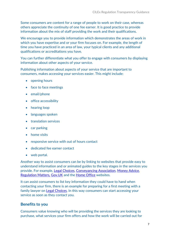Some consumers are content for a range of people to work on their case, whereas others appreciate the continuity of one fee earner. It is good practice to provide information about the mix of staff providing the work and their qualifications.

We encourage you to provide information which demonstrates the areas of work in which you have expertise and or your firm focuses on. For example, the length of time you have practiced in an area of law, your typical clients and any additional qualifications or accreditations you have.

You can further differentiate what you offer to engage with consumers by displaying information about other aspects of your service.

Publishing information about aspects of your service that are important to consumers, makes accessing your services easier. This might include:

- opening hours
- face to face meetings
- email/phone
- office accessibility
- hearing loop
- languages spoken
- translation services
- car parking
- home visits
- responsive service with out of hours contact
- dedicated fee earner contact
- web portal.

Another way to assist consumers can be by linking to websites that provide easy to understand information and or animated guides to the key stages in the services you provide. For example, [Legal Choices,](https://www.legalchoices.org.uk/) [Conveyancing Association,](https://www.conveyancingassociation.org.uk/) [Money Advice,](https://www.youtube.com/watch?v=lDroLvBtrus&feature=youtu.be&list=PLzJI8W1q5m7p-C79a_HP4EIObQViuLn4e) [Regulation Matters,](https://www.regulationmatters.uk/) [Gov.UK](https://www.gov.uk/) and the [Home Office](https://cilexgroup-my.sharepoint.com/personal/sue_chandler_cilexregulation_org_uk/Documents/CMA/IMMIGRATION%20TRANSPARENCY/GUIDANCE/DRAFT%20Transparency%20Guidance%20Word%202020%20(v2).docx) websites.

It can assist consumers to list key information they could have to hand when contacting your firm, there is an example for preparing for a first meeting with a family lawyer on [Legal Choices.](https://www.legalchoices.org.uk/legal-choices/got-a-legal-issue/families/meeting-family-lawyer-first-time) In this way consumers can start accessing your service as soon as they contact you.

# **Benefits to you**

Consumers value knowing who will be providing the services they are looking to purchase, what services your firm offers and how the work will be carried out for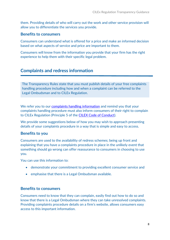them. Providing details of who will carry out the work and other service provision will allow you to differentiate the services you provide.

#### **Benefits to consumers**

Consumers can understand what is offered for a price and make an informed decision based on what aspects of service and price are important to them.

Consumers will know from the information you provide that your firm has the right experience to help them with their specific legal problem.

# **Complaints and redress information**

The Transparency Rules state that you must publish details of your free complaints handling procedure including how and when a complaint can be referred to the Legal Ombudsman and to CILEx Regulation.

We refer you to our [complaints handling information](https://cilexregulation.org.uk/wp-content/uploads/2018/11/First-Tier-Complaints-Handling.pdf) and remind you that your complaints handling procedure must also inform consumers of their right to complain to CILEx Regulation (Principle 5 of the CILEX [Code of Conduct\)](https://cilexregulation.org.uk/wp-content/uploads/2018/11/CILEx-Code-of-Conduct.pdf).

We provide some suggestions below of how you may wish to approach presenting details of your complaints procedure in a way that is simple and easy to access.

#### **Benefits to you**

Consumers are used to the availability of redress schemes; being up front and explaining that you have a complaints procedure in place in the unlikely event that something should go wrong can offer reassurance to consumers in choosing to use you.

You can use this information to:

- demonstrate your commitment to providing excellent consumer service and
- emphasise that there is a Legal Ombudsman available.

#### **Benefits to consumers**

Consumers need to know that they can complain, easily find out how to do so and know that there is a Legal Ombudsman where they can take unresolved complaints. Providing complaints procedure details on a firm's website, allows consumers easy access to this important information.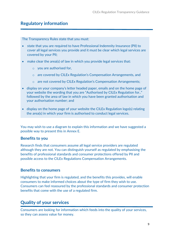# **Regulatory information**

The Transparency Rules state that you must:

- state that you are required to have Professional Indemnity Insurance (PII) to cover all legal services you provide and it must be clear which legal services are covered by your PII;
- make clear the area(s) of law in which you provide legal services that:
	- o you are authorised for,
	- o are covered by CILEx Regulation's Compensation Arrangements, and
	- o are not covered by CILEx Regulation's Compensation Arrangements;
- display on your company's letter headed paper, emails and on the home page of your website the wording that you are "Authorised by CILEx Regulation for.." followed by the area of law in which you have been granted authorisation and your authorisation number; and
- display on the home page of your website the CILEx Regulation logo(s) relating the area(s) in which your firm is authorised to conduct legal services.

You may wish to use a diagram to explain this information and we have suggested a possible way to present this in Annex E.

#### **Benefits to you**

Research finds that consumers assume all legal service providers are regulated although they are not. You can distinguish yourself as regulated by emphasising the benefits of professional standards and consumer protections offered by PII and possible access to the CILEx Regulations Compensation Arrangements.

#### **Benefits to consumers**

Highlighting that your firm is regulated, and the benefits this provides, will enable consumers to make informed choices about the type of firm they wish to use. Consumers can feel reassured by the professional standards and consumer protection benefits that come with the use of a regulated firm.

# **Quality of your services**

Consumers are looking for information which feeds into the quality of your services, so they can assess value for money.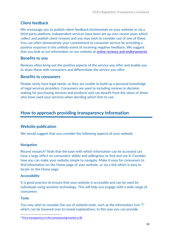# **Client feedback**

We encourage you to publish client feedback/testimonials on your website or via a third-party platform. Independent services have been set up over recent years which collect and publish client reviews and you may wish to consider use of one of these. You can often demonstrate your commitment to consumer service by providing a positive response in the unlikely event of receiving negative feedback. We suggest that you look at our information on our website at [online reviews and endorsements.](https://cilexregulation.org.uk/wp-content/uploads/2018/11/Cilex-doc-9-Online-Reviews-and-Endorsements.pdf)

# **Benefits to you**

Reviews often bring out the positive aspects of the service you offer and enable you to share these with consumers and differentiate the service you offer.

# **Benefits to consumers**

People rarely have legal needs, so they are unable to build up a personal knowledge of legal services providers. Consumers are used to including reviews in decision making for purchasing services and products and can benefit from the views of those who have used your services when deciding which firm to use.

# **How to approach providing transparency information**

# **Website publication**

We would suggest that you consider the following aspects of your website.

#### **Navigation**

Recent research<sup>[2](#page-9-0)</sup> finds that the ease with which information can be accessed can have a large effect on consumers' ability and willingness to find and use it. Consider how you can make your website simple to navigate. Make it easy for consumers to find information on the Home page of your website, or via a link which is easy to locate on the Home page.

#### **Accessibility**

It is good practice to ensure that your website is accessible and can be used by individuals using assistive technology. This will help you engage with a wide range of consumers.

#### **Tools**

You may wish to consider the use of website tools, such as the information icon "i" which can be hovered over to reveal explanations. In this way you can provide

<span id="page-9-0"></span><sup>&</sup>lt;sup>2</sup> Price transparency in the convevancing market p 36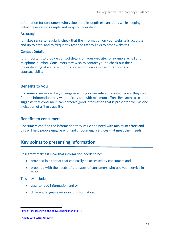information for consumers who value more in-depth explanations while keeping initial presentations simple and easy to understand.

#### **Accuracy**

It makes sense to regularly check that the information on your website is accurate and up to date; and to frequently test and fix any links to other websites.

#### **Contact Details**

It is important to provide contact details on your website, for example, email and telephone number. Consumers may wish to contact you to check out their understanding of website information and or gain a sense of rapport and approachability.

# **Benefits to you**

Consumers are more likely to engage with your website and contact you if they can find the information they want quickly and with minimum effort. Research<sup>[3](#page-10-0)</sup> also suggests that consumers can perceive good information that is presented well as one indication of a firm's quality.

#### **Benefits to consumers**

Consumers can find the information they value and need with minimum effort and this will help people engage with and choose legal services that meet their needs.

# **Key points to presenting information**

Research<sup>[4](#page-10-1)</sup> makes it clear that information needs to be:

- provided in a format that can easily be accessed by consumers and
- prepared with the needs of the types of consumers who use your service in mind.

This may include:

- easy to read information and or
- different language versions of information.

<span id="page-10-0"></span><sup>&</sup>lt;sup>3</sup> Price transparency in the conveyancing market p 44

<span id="page-10-1"></span><sup>4</sup> [Client Care Letter research](https://cilexregulation.org.uk/wp-content/uploads/2020/03/Client-Care-Letters-Research-Report-FINAL-201016.pdf)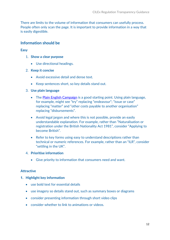There are limits to the volume of information that consumers can usefully process. People often only scan the page. It is important to provide information in a way that is easily digestible.

#### **Information should be**

#### **Easy**

- 1. **Show a clear purpose**
	- Use directional headings.
- 2. **Keep it concise**
	- Avoid excessive detail and dense text.
	- Keep sentences short, so key details stand out.

#### 3. **Use plain language**

- The [Plain English Campaign](http://www.plainenglish.co.uk/) is a good starting point. Using plain language, for example, might see "try" replacing "endeavour"; "issue or case" replacing "matter" and "other costs payable to another organisation" replacing "disbursements".
- Avoid legal jargon and where this is not possible, provide an easily understandable explanation. For example, rather than "Naturalisation or registration under the British Nationality Act 1981", consider "Applying to become British".
- Refer to key forms using easy to understand descriptions rather than technical or numeric references. For example, rather than an "ILR", consider "settling in the UK".
- 4. **Prioritise information**
	- Give priority to information that consumers need and want.

#### **Attractive**

- **1. Highlight key information** 
	- use bold text for essential details
	- use imagery so details stand out, such as summary boxes or diagrams
	- consider presenting information through short video clips
	- consider whether to link to animations or videos.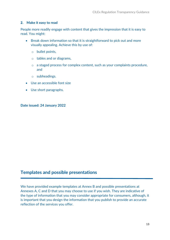#### **2. Make it easy to read**

People more readily engage with content that gives the impression that it is easy to read. You might:

- Break down information so that it is straightforward to pick out and more visually appealing. Achieve this by use of:
	- o bullet points,
	- o tables and or diagrams,
	- o a staged process for complex content, such as your complaints procedure, and
	- o subheadings.
- Use an accessible font size
- Use short paragraphs.

**Date issued: 24 January 2022**

# **Templates and possible presentations**

We have provided example templates at Annex B and possible presentations at Annexes A, C and D that you may choose to use if you wish. They are indicative of the type of information that you may consider appropriate for consumers, although, it is important that you design the information that you publish to provide an accurate reflection of the services you offer.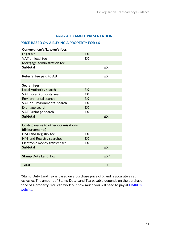#### **Annex A: EXAMPLE PRESENTATIONS**

#### **PRICE BASED ON A BUYING A PROPERTY FOR £X**

| Conveyancer's/Lawyer's fees          |           |           |
|--------------------------------------|-----------|-----------|
| Legal fee                            | <b>£X</b> |           |
| VAT on legal fee                     | <b>£X</b> |           |
| Mortgage administration fee          |           |           |
| <b>Subtotal</b>                      |           | <b>£X</b> |
|                                      |           |           |
| Referral fee paid to AB              |           | <b>£X</b> |
|                                      |           |           |
| Search fees                          |           |           |
| <b>Local Authority search</b>        | <b>£X</b> |           |
| <b>VAT Local Authority search</b>    | £X        |           |
| Environmental search                 | <b>£X</b> |           |
| VAT on Environmental search          | <b>£X</b> |           |
| Drainage search                      | <b>£X</b> |           |
| <b>VAT Drainage search</b>           | <b>£X</b> |           |
| <b>Subtotal</b>                      |           | <b>£X</b> |
|                                      |           |           |
| Costs payable to other organisations |           |           |
| (disbursements)                      |           |           |
| <b>HM Land Registry fee</b>          | £X        |           |
| <b>HM land Registry searches</b>     | <b>£X</b> |           |
| Electronic money transfer fee        | <b>£X</b> |           |
| <b>Subtotal</b>                      |           | <b>£X</b> |
|                                      |           |           |
| <b>Stamp Duty Land Tax</b>           |           | £X*       |
|                                      |           |           |
| <b>Total</b>                         |           | <b>£X</b> |

\*Stamp Duty Land Tax is based on a purchase price of X and is accurate as at xx/xx/xx. The amount of Stamp Duty Land Tax payable depends on the purchase price of a property. You can work out how much you will need to pay at **HMRC's** [website.](https://www.tax.service.gov.uk/calculate-stamp-duty-land-tax/#/intro)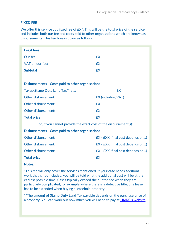#### **FIXED FEE**

We offer this service at a fixed fee of  $EX^*$ . This will be the total price of the service and includes both our fee and costs paid to other organisations which are known as disbursements. This fee breaks down as follows:

| <b>Legal fees:</b>                                               |                                  |  |  |  |
|------------------------------------------------------------------|----------------------------------|--|--|--|
| Our fee:                                                         | <b>£X</b>                        |  |  |  |
| VAT on our fee:                                                  | <b>£X</b>                        |  |  |  |
| <b>Subtotal</b>                                                  | <b>£X</b>                        |  |  |  |
|                                                                  |                                  |  |  |  |
| <b>Disbursements - Costs paid to other organisations</b>         |                                  |  |  |  |
| Taxes/Stamp Duty Land Tax** etc:                                 | <b>£X</b>                        |  |  |  |
| Other disbursement:                                              | <b>£X</b> (including VAT)        |  |  |  |
| Other disbursement:                                              | <b>£X</b>                        |  |  |  |
| Other disbursement:                                              | <b>£X</b>                        |  |  |  |
| <b>Total price</b>                                               | <b>£X</b>                        |  |  |  |
| or, if you cannot provide the exact cost of the disbursement(s): |                                  |  |  |  |
| <b>Disbursements - Costs paid to other organisations</b>         |                                  |  |  |  |
| Other disbursement:                                              | EX - EXX (final cost depends on) |  |  |  |
| Other disbursement:                                              | EX - EXX (final cost depends on) |  |  |  |
| Other disbursement:                                              | EX - EXX (final cost depends on) |  |  |  |
| <b>Total price</b>                                               | <b>£X</b>                        |  |  |  |
|                                                                  |                                  |  |  |  |

#### **Notes:**

\*This fee will only cover the services mentioned. If your case needs additional work that is not included, you will be told what the additional cost will be at the earliest possible time. Cases typically exceed the quoted fee when they are particularly complicated, for example, where there is a defective title, or a lease has to be extended when buying a leasehold property.

\*\*The amount of Stamp Duty Land Tax payable depends on the purchase price of a property. You can work out how much you will need to pay at [HMRC's website.](https://www.tax.service.gov.uk/calculate-stamp-duty-land-tax/#/intro)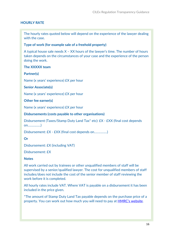#### **HOURLY RATE**

The hourly rates quoted below will depend on the experience of the lawyer dealing with the case.

#### **Type of work (for example sale of a freehold property)**

A typical house sale needs X – XX hours of the lawyer's time. The number of hours taken depends on the circumstances of your case and the experience of the person doing the work.

#### **The XXXXX team**

#### **Partner(s)**

Name (x years' experience) £X per hour

#### **Senior Associate(s)**

Name (x years' experience) £X per hour

#### **Other fee earner(s)**

Name (x years' experience) £X per hour

**Disbursements (costs payable to other organisations)**

Disbursement (Taxes/Stamp Duty Land Tax\* etc): £X - £XX (final cost depends on……………)

Disbursement: £X - £XX (final cost depends on……………)

#### **Or**

Disbursement: £X (including VAT)

Disbursement: £X

#### **Notes**

All work carried out by trainees or other unqualified members of staff will be supervised by a senior/qualified lawyer. The cost for unqualified members of staff includes/does not include the cost of the senior member of staff reviewing the work before it is completed.

All hourly rates include VAT. Where VAT is payable on a disbursement it has been included in the price given.

\*The amount of Stamp Duty Land Tax payable depends on the purchase price of a property. You can work out how much you will need to pay at [HMRC's website.](https://www.tax.service.gov.uk/calculate-stamp-duty-land-tax/#/intro)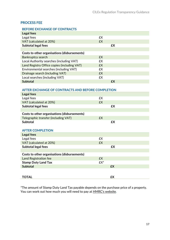#### **PROCESS FEE**

| <b>BEFORE EXCHANGE OF CONTRACTS</b> |
|-------------------------------------|
|                                     |

| Legal fees                                   |           |    |
|----------------------------------------------|-----------|----|
| Legal fees                                   | £X        |    |
| VAT (calculated at 20%)                      | <b>£X</b> |    |
| <b>Subtotal legal fees</b>                   |           | £X |
|                                              |           |    |
| Costs to other organisations (disbursements) |           |    |
| <b>Bankruptcy search</b>                     | <b>£X</b> |    |
| Local Authority searches (including VAT)     | £X.       |    |
| Land Registry Office copies (including VAT)  | £X.       |    |
| Environmental searches (including VAT)       | <b>£X</b> |    |
| Drainage search (including VAT)              | <b>£X</b> |    |
| Local searches (including VAT)               | <b>£X</b> |    |
| <b>Subtotal</b>                              |           | £X |

#### **AFTER EXCHANGE OF CONTRACTS AND BEFORE COMPLETION**

| <b>Legal fees</b>                            |                 |           |
|----------------------------------------------|-----------------|-----------|
| Legal fees                                   | £X              |           |
| VAT (calculated at 20%)                      | <b>£X</b>       |           |
| Subtotal legal fees                          |                 | £X        |
|                                              |                 |           |
| Costs to other organisations (disbursements) |                 |           |
| Telegraphic transfer (including VAT)         | <b>£X</b>       |           |
| <b>Subtotal</b>                              |                 | £X        |
|                                              |                 |           |
| <b>AFTER COMPLETION</b>                      |                 |           |
| <b>Legal fees</b>                            |                 |           |
| Legal fees                                   | £X              |           |
| VAT (calculated at 20%)                      | <b>£X</b>       |           |
| <b>Subtotal legal fees</b>                   |                 | £X        |
|                                              |                 |           |
| Costs to other organisations (disbursements) |                 |           |
| <b>Land Registration fee</b>                 | <b>£X</b>       |           |
| <b>Stamp Duty Land Tax</b>                   | £X <sup>*</sup> |           |
| <b>Subtotal</b>                              |                 | <b>£X</b> |
|                                              |                 |           |
| <b>TOTAL</b>                                 |                 | £X        |
|                                              |                 |           |

\*The amount of Stamp Duty Land Tax payable depends on the purchase price of a property. You can work out how much you will need to pay at **HMRC's website**.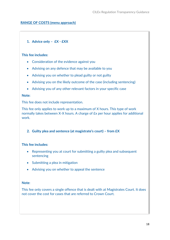#### **RANGE OF COSTS (menu approach)**

# **1.** Advice only –  $EX - EXX$ <br>This fee includes:

#### **This fee includes:**

- $\epsilon$  -consideration of the evidence against  $\epsilon$ • Consideration of the evidence against you
- $\overline{\phantom{a}}$  Advising on any defence that may be available to you be available to you be available to you be available to you be available to you be available to you be available to you be available to you be available to • Advising on any defence that may be available to you
- Advising you on whether to plead guilty or not guilty • Advising you on whether to plead guilty or not guilty
- Advising you on the likely outcome of the case (including sentencing) • Advising you on the likely outcome of the case (including sentencing)
- $\mathbf{r}$  and  $\mathbf{r}$  in your specific case  $\mathbf{r}$  in your specific case  $\mathbf{r}$ • Advising you of any other relevant factors in your specific case

#### **Note: Note:**

This fee does not include representation. This fee does not include representation.

This fee only applies to work up to a maximum of X hours. This type of work  $\frac{1}{2}$  hours. A charge of  $\frac{1}{2}$  hours. A charge of  $\frac{1}{2}$  per hours. This recognizes for a pplies for a discussion  $\frac{1}{2}$  in a charge of  $\frac{1}{2}$  in a charge of  $\frac{1}{2}$  in a charge of  $\frac{1}{2}$  in a charge www. This fee only applies to work up to a maximum of X hours. This type of work normally takes between X-X hours. A charge of £x per hour applies for additional work.

**4. Guilty plea and sentence (at magistrate's court) – from £X 2. Guilty plea and sentence (at magistrate's court) – from £X**

#### **This fee includes: This fee includes:**

- $\mathbf{r} = \mathbf{r}$  at court for submitting a guilty pleasant for subsequenting a guilty pleasant subsequenting a guilty pleasant subsequenting a guilty pleasant subsequenting a guilty pleasant subsequenting a guilty pleasant • Representing you at court for submitting a guilty plea and subsequent sentencing
- $\mathcal{S}$  in mitigation and mitigation mitigation  $\mathcal{S}$ • Submitting a plea in mitigation
- $\mathbf{r}$  and the sentence on whether the sentence the sentence of  $\mathbf{r}$ • Advising you on whether to appeal the sentence

#### **Note**: **Note**:

This fee only covers a single offence that is dealt with at Magistrates Court. It does not complete that are referred to contract for court. This fee only covers a single offence that is dealt with at Magistrates Court. It does not cover the cost for cases that are referred to Crown Court.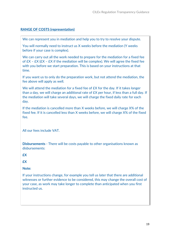#### **RANGE OF COSTS (representation)**

We can represent you in mediation and help you to try to resolve your dispute.

You will normally need to instruct us X weeks before the mediation (Y weeks before if your case is complex).

We can carry out all the work needed to prepare for the mediation for a fixed fee of  $EX - EX$  ( $EX - EX$ ) if the mediation will be complex). We will agree the fixed fee with you before we start preparation. This is based on your instructions at that time.

If you want us to only do the preparation work, but not attend the mediation, the fee above will apply as well.

We will attend the mediation for a fixed fee of £X for the day. If it takes longer than a day, we will charge an additional rate of £X per hour, if less than a full day. If the mediation will take several days, we will charge the fixed daily rate for each day.

If the mediation is cancelled more than X weeks before, we will charge X% of the fixed fee. If it is cancelled less than X weeks before, we will charge X% of the fixed fee.

All our fees include VAT.

**Disbursements** - There will be costs payable to other organisations known as disbursements:

**£X**

**£X** 

#### **Note:**

If your instructions change, for example you tell us later that there are additional witnesses or further evidence to be considered, this may change the overall cost of your case, as work may take longer to complete than anticipated when you first instructed us.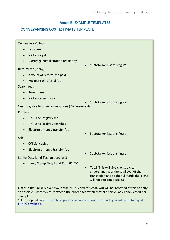# **Annex B: EXAMPLE TEMPLATES**

# **CONVEYANCING COST ESTIMATE TEMPLATE**

# Conveyancer's fees • Legal fee

- VAT on legal fee
- Mortgage administration fee (if any)

#### Referral fee (if any)

- Amount of referral fee paid
- Recipient of referral fee

#### Search fees

- Search fees
- VAT on search fees

#### • Subtotal (or just this figure)

• Subtotal (or just this figure)

#### Costs payable to other organisations (Disbursements)

#### Purchase

- HM Land Registry fee
- HM Land Registry searches
- Electronic money transfer fee

#### Sale

- Official copies
- Electronic money transfer fee

#### Stamp Duty Land Tax (on purchase)

• Likely Stamp Duty Land Tax (SDLT)\*

- Subtotal (or just this figure)
- Subtotal (or just this figure)
- Total (This will give clients a clear understanding of the total cost of the transaction and so the full funds the client will need to complete it.)

**Note**: In the unlikely event your case will exceed this cost, you will be informed of this as early as possible. Cases typically exceed the quoted fee when they are particularly complicated, for example…

**\***SDLT depends on the purchase price. You can work out how much you will need to pay at [HMRC's website.](https://www.tax.service.gov.uk/calculate-stamp-duty-land-tax/#/intro)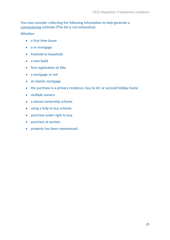#### You may consider collecting the following information to help generate a conveyancing estimate (This list is not exhaustive).

Whether:

- a first-time buyer
- a re-mortgage
- freehold or leasehold
- a new build
- first registration of title
- a mortgage or not
- an Islamic mortgage
- the purchase is a primary residence, buy to let, or second/holiday home
- multiple owners
- a shared ownership scheme
- using a help to buy scheme
- purchase under right to buy
- purchase at auction
- property has been repossessed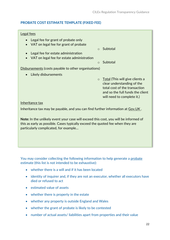#### **PROBATE COST ESTIMATE TEMPLATE (FIXED FEE)**

#### Legal fees

- Legal fee for grant of probate only
- VAT on legal fee for grant of probate
- o Subtotal
- Legal fee for estate administration • VAT on legal fee for estate administration
- o Subtotal
- 

Disbursements (costs payable to other organisations)

• Likely disbursements

o Total (This will give clients a clear understanding of the total cost of the transaction and so the full funds the client will need to complete it.)

#### Inheritance tax

Inheritance tax may be payable, and you can find further information at Gov.UK.

**Note:** In the unlikely event your case will exceed this cost, you will be informed of this as early as possible. Cases typically exceed the quoted fee when they are particularly complicated, for example…

You may consider collecting the following information to help generate a probate estimate (this list is not intended to be exhaustive):

- whether there is a will and if it has been located
- identity of inquirer and, if they are not an executor, whether all executors have died or refused to act
- estimated value of assets
- whether there is property in the estate
- whether any property is outside England and Wales
- whether the grant of probate is likely to be contested
- number of actual assets/ liabilities apart from properties and their value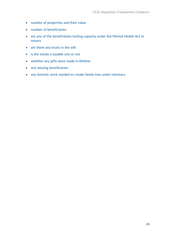- number of properties and their value
- number of beneficiaries
- are any of the beneficiaries lacking capacity under the Mental Health Act or minors
- are there any trusts in the will
- is the estate a taxable one or not
- whether any gifts were made in lifetime
- any missing beneficiaries
- any forensic work needed to create family tree under intestacy.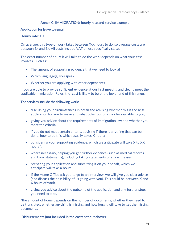#### **Annex C: IMMIGRATION: hourly rate and service example**

#### **Application for leave to remain**

#### **Hourly rate: £ X**

On average, this type of work takes between X-X hours to do, so average costs are between £x and £x. All costs include VAT unless specifically stated.

The exact number of hours it will take to do the work depends on what your case involves. Such as:

- The amount of supporting evidence that we need to look at
- Which language(s) you speak
- Whether you are applying with other dependants

If you are able to provide sufficient evidence at our first meeting and clearly meet the applicable Immigration Rules, the cost is likely to be at the lower end of this range.

#### **The services include the following work:**

- discussing your circumstances in detail and advising whether this is the best application for you to make and what other options may be available to you;
- giving you advice about the requirements of immigration law and whether you meet the criteria;
- if you do not meet certain criteria, advising if there is anything that can be done, how to do this which usually takes X hours;
- considering your supporting evidence, which we anticipate will take X to XX hour[s\\*;](https://www.sra.org.uk/solicitors/guidance/ethics-guidance/transparency-in-price-and-service/#note3)
- where necessary, helping you get further evidence (such as medical records and bank statements), including taking statements of any witnesses;
- preparing your application and submitting it on your behalf, which we anticipate will take X hours;
- If the Home Office ask you to go to an interview, we will give you clear advice (and discuss the possibility of us going with you). This could be between X and X hours of work.
- giving you advice about the outcome of the application and any further steps you need to take.

\*the amount of hours depends on the number of documents, whether they need to be translated, whether anything is missing and how long it will take to get the missing documents.

**Disbursements (not included in the costs set out above):**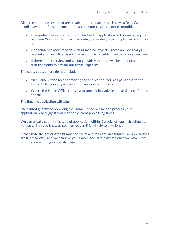Disbursements are costs that are payable to third parties, such as visa fees. We handle payment of disbursements for you so your case runs more smoothly.

- Interpreters fees at  $EX$  per hour. This kind of application will normally require between X-X hours with an interpreter, depending how complicated your case is;
- Independent expert reports such as medical experts. These are not always needed and we will let you know as soon as possible if we think you need one;
- If there is an interview and we do go with you, there will be additional disbursements to pay for our travel expenses.

The costs quoted here do not include:

- Any [Home Office fees](https://www.gov.uk/government/publications/visa-regulations-revised-table) for making the application. You will pay these to the Home Office directly as part of the application process.
- Where the Home Office refuse your application, advice and assistance for any appeal

#### **The time the application will take**

We cannot guarantee how long the Home Office will take to process your application. [We suggest you read the current processing times.](https://www.gov.uk/visa-processing-times)

We can usually submit this type of application within X weeks of you instructing us, but we will let you know as soon as we can if it is likely to take longer.

Please note the anticipated number of hours and fees are an estimate. All applications are likely to vary, and we can give you a more accurate estimate once we have more information about your specific case.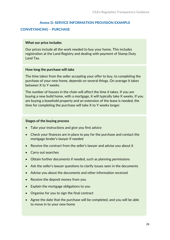#### **Annex D: SERVICE INFORMATION PROVISION EXAMPLE**

#### **CONVEYANCING – PURCHASE**

#### **What our price includes**

Our prices include all the work needed to buy your home. This includes registration at the Land Registry and dealing with payment of Stamp Duty Land Tax.

#### **How long the purchase will take**

The time taken from the seller accepting your offer to buy, to completing the purchase of your new home, depends on several things. On average it takes between X to Y weeks.

The number of houses in the chain will affect the time it takes. If you are buying a new build home, with a mortgage, it will typically take X weeks. If you are buying a leasehold property and an extension of the lease is needed, the time for completing the purchase will take X to Y weeks longer.

#### **Stages of the buying process**

- Take your instructions and give you first advice
- Check your finances are in place to pay for the purchase and contact the mortgage lender's lawyer if needed
- Receive the contract from the seller's lawyer and advise you about it
- Carry out searches
- Obtain further documents if needed, such as planning permissions
- Ask the seller's lawyer questions to clarify issues seen in the documents
- Advise you about the documents and other information received
- Receive the deposit money from you
- Explain the mortgage obligations to you
- Organise for you to sign the final contract
- Agree the date that the purchase will be completed, and you will be able to move in to your new home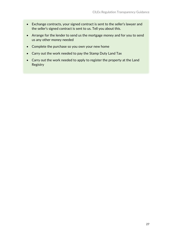- Exchange contracts, your signed contract is sent to the seller's lawyer and the seller's signed contract is sent to us. Tell you about this.
- Arrange for the lender to send us the mortgage money and for you to send us any other money needed
- Complete the purchase so you own your new home
- Carry out the work needed to pay the Stamp Duty Land Tax
- Carry out the work needed to apply to register the property at the Land Registry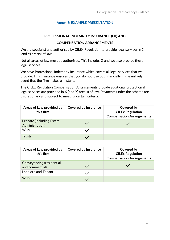#### **Annex E: EXAMPLE PRESENTATION**

#### **PROFESSIONAL INDEMNITY INSURANCE (PII) AND**

#### **COMPENSATION ARRANGEMENTS**

We are specialist and authorised by CILEx Regulation to provide legal services in X (and Y) area(s) of law.

Not all areas of law must be authorised. This includes Z and we also provide these legal services.

We have Professional Indemnity Insurance which covers all legal services that we provide. This insurance ensures that you do not lose out financially in the unlikely event that the firm makes a mistake.

The CILEx Regulation Compensation Arrangements provide additional protection if legal services are provided in X (and Y) area(s) of law. Payments under the scheme are discretionary and subject to meeting certain criteria.

| Areas of Law provided by<br>this firm                | <b>Covered by Insurance</b> | Covered by<br><b>CILEx Regulation</b><br><b>Compensation Arrangements</b> |
|------------------------------------------------------|-----------------------------|---------------------------------------------------------------------------|
| <b>Probate (including Estate)</b><br>Administration) |                             |                                                                           |
| <b>Wills</b>                                         |                             |                                                                           |
| Trusts                                               |                             |                                                                           |

| Areas of Law provided by<br>this firm        | <b>Covered by Insurance</b> | Covered by<br><b>CILEx Regulation</b><br><b>Compensation Arrangements</b> |
|----------------------------------------------|-----------------------------|---------------------------------------------------------------------------|
| Conveyancing (residential<br>and commercial) |                             |                                                                           |
| <b>Landlord and Tenant</b>                   |                             |                                                                           |
| <b>Wills</b>                                 |                             |                                                                           |